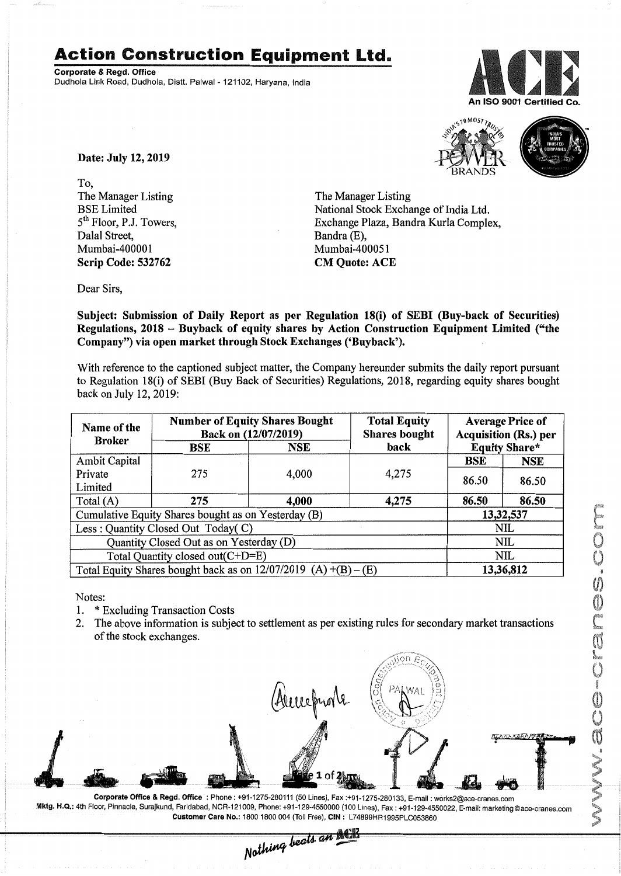## **Action Construction Equipment Ltd.**

Corporate & Regd. Office Dudhola Link Road, Dudhola, Distt. Palwal - 121102, Haryana, India





Date: July 12, 2019

To, The Manager Listing BSE Limited 5<sup>th</sup> Floor, P.J. Towers, Dalal Street, Mumbai-400001 Scrip Code: 532762

The Manager Listing National Stock Exchange of India Ltd. Exchange Plaza, Bandra Kurla Complex, Bandra (E), Mumbai-400051 CM Quote: ACE

Dear Sirs,

Subject: Submission of Daily Report as per Regulation 18(i) of SEBI (Buy-back of Securities) Regulations, 2018 - Buyback of equity shares by Action Construction Equipment Limited ("the Company") via open market through Stock Exchanges ('Buyback').

With reference to the captioned subject matter, the Company hereunder submits the daily report pursuant to Regulation 18(i) of SEBI (Buy Back of Securities) Regulations, 2018, regarding equity shares bought back on July 12,2019:

| Name of the<br><b>Broker</b>                                      | <b>Number of Equity Shares Bought</b><br>Back on (12/07/2019) |            | <b>Total Equity</b><br><b>Shares bought</b> | <b>Average Price of</b><br><b>Acquisition (Rs.) per</b> |                      |
|-------------------------------------------------------------------|---------------------------------------------------------------|------------|---------------------------------------------|---------------------------------------------------------|----------------------|
|                                                                   | BSE                                                           | <b>NSE</b> | back                                        |                                                         | <b>Equity Share*</b> |
| <b>Ambit Capital</b>                                              |                                                               |            |                                             | BSE                                                     | <b>NSE</b>           |
| Private<br>Limited                                                | 275                                                           | 4,000      | 4,275                                       | 86.50                                                   | 86.50                |
| Total $(A)$                                                       | 275                                                           | 4,000      | 4,275                                       | 86.50                                                   | 86.50                |
| Cumulative Equity Shares bought as on Yesterday (B)               |                                                               |            |                                             | 13,32,537                                               |                      |
| Less: Quantity Closed Out Today(C)                                |                                                               |            |                                             | <b>NIL</b>                                              |                      |
| Quantity Closed Out as on Yesterday (D)                           |                                                               |            |                                             | <b>NIL</b>                                              |                      |
| Total Quantity closed out(C+D=E)                                  |                                                               |            |                                             | <b>NIL</b>                                              |                      |
| Total Equity Shares bought back as on $12/07/2019$ (A) +(B) – (E) |                                                               |            |                                             | 13,36,812                                               |                      |

Notes:

- 1. \* Excluding Transaction Costs
- 2. The above information is subject to settlement as per existing rules for secondary market transactions of the stock exchanges.



oop. 29-4550022, E-mail: marketing @ace-cranes.com و Customer Care No.: 121009, Phone: +91-129-4550000 (100 Lines), Fax : +91-129-4550022, E-mail: marketing @ace-cranes.com و Customer Care No.: 1800 1800 004 (Toll Free),